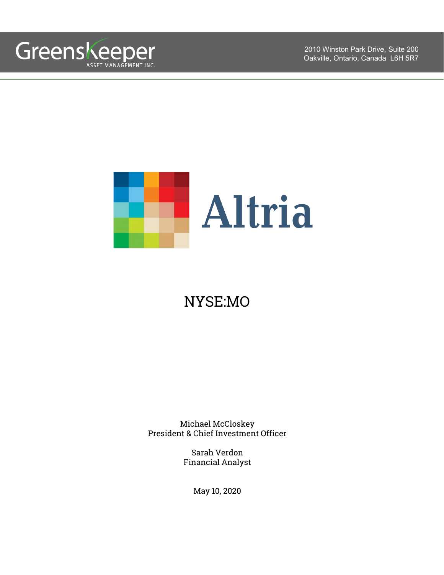



# NYSE:MO

Michael McCloskey President & Chief Investment Officer

> Sarah Verdon Financial Analyst

> > May 10, 2020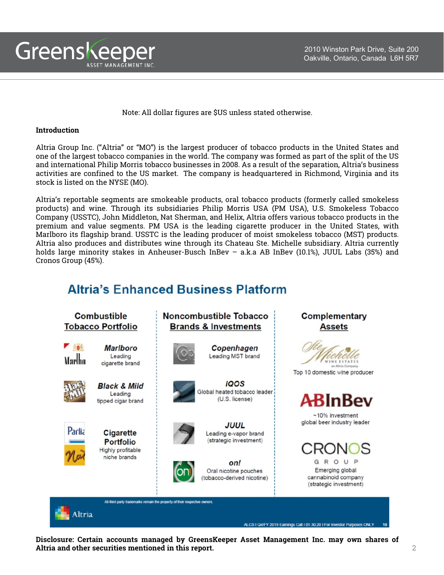

Note: All dollar figures are \$US unless stated otherwise.

#### **Introduction**

Altria Group Inc. ("Altria" or "MO") is the largest producer of tobacco products in the United States and one of the largest tobacco companies in the world. The company was formed as part of the split of the US and international Philip Morris tobacco businesses in 2008. As a result of the separation, Altria's business activities are confined to the US market. The company is headquartered in Richmond, Virginia and its stock is listed on the NYSE (MO).

Altria's reportable segments are smokeable products, oral tobacco products (formerly called smokeless products) and wine. Through its subsidiaries Philip Morris USA (PM USA), U.S. Smokeless Tobacco Company (USSTC), John Middleton, Nat Sherman, and Helix, Altria offers various tobacco products in the premium and value segments. PM USA is the leading cigarette producer in the United States, with Marlboro its flagship brand. USSTC is the leading producer of moist smokeless tobacco (MST) products. Altria also produces and distributes wine through its Chateau Ste. Michelle subsidiary. Altria currently holds large minority stakes in Anheuser-Busch InBev – a.k.a AB InBev (10.1%), JUUL Labs (35%) and Cronos Group (45%).

## **Altria's Enhanced Business Platform**



**Disclosure: Certain accounts managed by GreensKeeper Asset Management Inc. may own shares of Altria and other securities mentioned in this report.** 2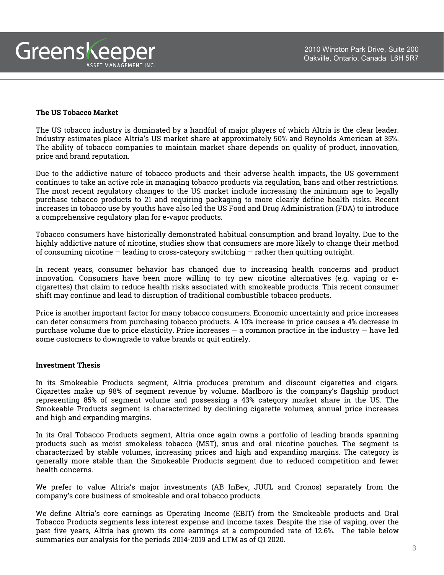

#### **The US Tobacco Market**

The US tobacco industry is dominated by a handful of major players of which Altria is the clear leader. Industry estimates place Altria's US market share at approximately 50% and Reynolds American at 35%. The ability of tobacco companies to maintain market share depends on quality of product, innovation, price and brand reputation.

Due to the addictive nature of tobacco products and their adverse health impacts, the US government continues to take an active role in managing tobacco products via regulation, bans and other restrictions. The most recent regulatory changes to the US market include increasing the minimum age to legally purchase tobacco products to 21 and requiring packaging to more clearly define health risks. Recent increases in tobacco use by youths have also led the US Food and Drug Administration (FDA) to introduce a comprehensive regulatory plan for e-vapor products.

Tobacco consumers have historically demonstrated habitual consumption and brand loyalty. Due to the highly addictive nature of nicotine, studies show that consumers are more likely to change their method of consuming nicotine — leading to cross-category switching — rather then quitting outright.

In recent years, consumer behavior has changed due to increasing health concerns and product innovation. Consumers have been more willing to try new nicotine alternatives (e.g. vaping or ecigarettes) that claim to reduce health risks associated with smokeable products. This recent consumer shift may continue and lead to disruption of traditional combustible tobacco products.

Price is another important factor for many tobacco consumers. Economic uncertainty and price increases can deter consumers from purchasing tobacco products. A 10% increase in price causes a 4% decrease in purchase volume due to price elasticity. Price increases  $-$  a common practice in the industry  $-$  have led some customers to downgrade to value brands or quit entirely.

#### **Investment Thesis**

In its Smokeable Products segment, Altria produces premium and discount cigarettes and cigars. Cigarettes make up 98% of segment revenue by volume. Marlboro is the company's flagship product representing 85% of segment volume and possessing a 43% category market share in the US. The Smokeable Products segment is characterized by declining cigarette volumes, annual price increases and high and expanding margins.

In its Oral Tobacco Products segment, Altria once again owns a portfolio of leading brands spanning products such as moist smokeless tobacco (MST), snus and oral nicotine pouches. The segment is characterized by stable volumes, increasing prices and high and expanding margins. The category is generally more stable than the Smokeable Products segment due to reduced competition and fewer health concerns.

We prefer to value Altria's major investments (AB InBev, JUUL and Cronos) separately from the company's core business of smokeable and oral tobacco products.

We define Altria's core earnings as Operating Income (EBIT) from the Smokeable products and Oral Tobacco Products segments less interest expense and income taxes. Despite the rise of vaping, over the past five years, Altria has grown its core earnings at a compounded rate of 12.6%. The table below summaries our analysis for the periods 2014-2019 and LTM as of Q1 2020.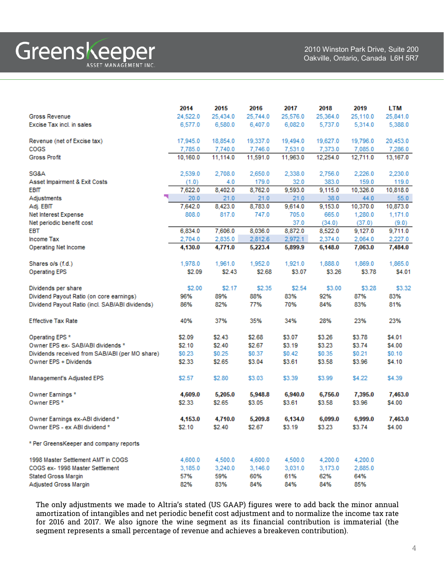|                                                                   | 2014            | 2015             | 2016            | 2017             | 2018             | 2019              | LTM              |
|-------------------------------------------------------------------|-----------------|------------------|-----------------|------------------|------------------|-------------------|------------------|
| <b>Gross Revenue</b>                                              | 24,522.0        | 25,434.0         | 25.744.0        | 25,576.0         | 25,364.0         | 25,110.0          | 25,841.0         |
| Excise Tax incl. in sales                                         | 6,577.0         | 6,580.0          | 6,407.0         | 6,082.0          | 5,737.0          | 5.314.0           | 5,388.0          |
|                                                                   |                 |                  |                 |                  |                  |                   |                  |
| Revenue (net of Excise tax)                                       | 17,945.0        | 18,854.0         | 19,337.0        | 19,494.0         | 19,627.0         | 19,796.0          | 20,453.0         |
| <b>COGS</b>                                                       | 7,785.0         | 7.740.0          | 7,746.0         | 7,531.0          | 7.373.0          | 7,085.0           | 7,286.0          |
| <b>Gross Profit</b>                                               | 10,160.0        | 11,114.0         | 11,591.0        | 11,963.0         | 12,254.0         | 12,711.0          | 13,167.0         |
|                                                                   |                 |                  |                 |                  |                  |                   |                  |
| SG&A                                                              | 2,539.0         | 2,708.0          | 2,650.0         | 2,338.0          | 2,756.0          | 2,226.0           | 2,230.0          |
| Asset Impairment & Exit Costs                                     | (1.0)           | 4.0              | 179.0           | 32.0             | 383.0            | 159.0             | 119.0            |
| <b>EBIT</b>                                                       | 7,622.0         | 8,402.0          | 8,762.0         | 9,593.0          | 9,115.0          | 10,326.0          | 10,818.0         |
| Adjustments                                                       | 20.0<br>7,642.0 | 21.0             | 21.0<br>8,783.0 | 21.0             | 38.0             | 44.0              | 55.0             |
| Adj. EBIT                                                         | 808.0           | 8,423.0<br>817.0 | 747.0           | 9,614.0<br>705.0 | 9,153.0<br>665.0 | 10,370.0          | 10,873.0         |
| Net Interest Expense<br>Net periodic benefit cost                 |                 |                  |                 | 37.0             | (34.0)           | 1,280.0<br>(37.0) | 1,171.0<br>(9.0) |
| <b>EBT</b>                                                        | 6,834.0         | 7,606.0          | 8,036.0         | 8,872.0          | 8,522.0          | 9,127.0           | 9,711.0          |
| Income Tax                                                        | 2,704.0         | 2,835.0          | 2,812.6         | 2,972.1          | 2.374.0          | 2.064.0           | 2,227.0          |
| Operating Net Income                                              | 4.130.0         | 4,771.0          | 5,223.4         | 5,899.9          | 6,148.0          | 7,063.0           | 7,484.0          |
|                                                                   |                 |                  |                 |                  |                  |                   |                  |
| Shares o/s (f.d.)                                                 | 1,978.0         | 1,961.0          | 1,952.0         | 1,921.0          | 1,888.0          | 1,869.0           | 1,865.0          |
| <b>Operating EPS</b>                                              | \$2.09          | \$2.43           | \$2.68          | \$3.07           | \$3.26           | \$3.78            | S4.01            |
|                                                                   |                 |                  |                 |                  |                  |                   |                  |
| Dividends per share                                               | \$2.00          | \$2.17           | \$2.35          | \$2.54           | \$3.00           | \$3.28            | \$3.32           |
| Dividend Payout Ratio (on core earnings)                          | 96%             | 89%              | 88%             | 83%              | 92%              | 87%               | 83%              |
| Dividend Payout Ratio (incl. SAB/ABI dividends)                   | 86%             | 82%              | 77%             | 70%              | 84%              | 83%               | 81%              |
|                                                                   |                 |                  |                 |                  |                  |                   |                  |
| <b>Effective Tax Rate</b>                                         | 40%             | 37%              | 35%             | 34%              | 28%              | 23%               | 23%              |
|                                                                   |                 |                  |                 |                  |                  |                   |                  |
| Operating EPS *                                                   | \$2.09          | \$2.43           | \$2.68          | \$3.07           | \$3.26           | \$3.78            | \$4.01           |
| Owner EPS ex- SAB/ABI dividends *                                 | \$2.10          | \$2.40           | \$2.67          | \$3.19           | \$3.23           | \$3.74            | \$4.00           |
| Dividends received from SAB/ABI (per MO share)                    | \$0.23          | \$0.25           | \$0.37          | \$0.42           | \$0.35           | \$0.21            | \$0.10           |
| Owner EPS + Dividends                                             | \$2.33          | \$2.65           | \$3.04          | \$3.61           | \$3.58           | \$3.96            | \$4.10           |
|                                                                   |                 |                  |                 |                  |                  |                   |                  |
| Management's Adjusted EPS                                         | \$2.57          | \$2.80           | \$3.03          | \$3.39           | \$3.99           | \$4.22            | \$4.39           |
|                                                                   |                 |                  |                 |                  |                  |                   |                  |
| Owner Earnings <sup>*</sup>                                       | 4,609.0         | 5,205.0          | 5,948.8         | 6,940.0          | 6,756.0          | 7,395.0           | 7,463.0          |
| Owner EPS <sup>*</sup>                                            | \$2.33          | \$2.65           | \$3.05          | \$3.61           | \$3.58           | \$3.96            | \$4.00           |
|                                                                   |                 |                  |                 |                  | 6,099.0          | 6,999.0           |                  |
| Owner Earnings ex-ABI dividend *<br>Owner EPS - ex ABI dividend * | 4,153.0         | 4,710.0          | 5,209.8         | 6,134.0          |                  | \$3.74            | 7,463.0          |
|                                                                   | \$2.10          | \$2.40           | \$2.67          | \$3.19           | \$3.23           |                   | \$4.00           |
| * Per GreensKeeper and company reports                            |                 |                  |                 |                  |                  |                   |                  |
|                                                                   |                 |                  |                 |                  |                  |                   |                  |
| 1998 Master Settlement AMT in COGS                                | 4,600.0         | 4,500.0          | 4,600.0         | 4,500.0          | 4,200.0          | 4,200.0           |                  |
| COGS ex- 1998 Master Settlement                                   | 3,185.0         | 3,240.0          | 3,146.0         | 3,031.0          | 3,173.0          | 2,885.0           |                  |
| <b>Stated Gross Margin</b>                                        | 57%             | 59%              | 60%             | 61%              | 62%              | 64%               |                  |
| Adjusted Gross Margin                                             | 82%             | 83%              | 84%             | 84%              | 84%              | 85%               |                  |

The only adjustments we made to Altria's stated (US GAAP) figures were to add back the minor annual amortization of intangibles and net periodic benefit cost adjustment and to normalize the income tax rate for 2016 and 2017. We also ignore the wine segment as its financial contribution is immaterial (the segment represents a small percentage of revenue and achieves a breakeven contribution).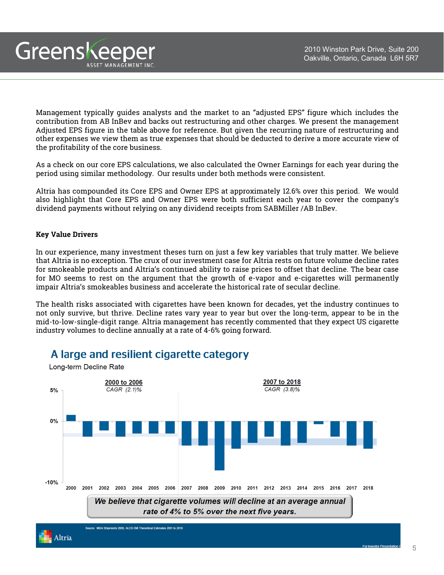Management typically guides analysts and the market to an "adjusted EPS" figure which includes the contribution from AB InBev and backs out restructuring and other charges. We present the management Adjusted EPS figure in the table above for reference. But given the recurring nature of restructuring and other expenses we view them as true expenses that should be deducted to derive a more accurate view of the profitability of the core business.

As a check on our core EPS calculations, we also calculated the Owner Earnings for each year during the period using similar methodology. Our results under both methods were consistent.

Altria has compounded its Core EPS and Owner EPS at approximately 12.6% over this period. We would also highlight that Core EPS and Owner EPS were both sufficient each year to cover the company's dividend payments without relying on any dividend receipts from SABMiller /AB InBev.

#### **Key Value Drivers**

Greenskeeper

ASSET MANAGEMENT INC

In our experience, many investment theses turn on just a few key variables that truly matter. We believe that Altria is no exception. The crux of our investment case for Altria rests on future volume decline rates for smokeable products and Altria's continued ability to raise prices to offset that decline. The bear case for MO seems to rest on the argument that the growth of e-vapor and e-cigarettes will permanently impair Altria's smokeables business and accelerate the historical rate of secular decline.

The health risks associated with cigarettes have been known for decades, yet the industry continues to not only survive, but thrive. Decline rates vary year to year but over the long-term, appear to be in the mid-to-low-single-digit range. Altria management has recently commented that they expect US cigarette industry volumes to decline annually at a rate of 4-6% going forward.



### A large and resilient cigarette category

Altria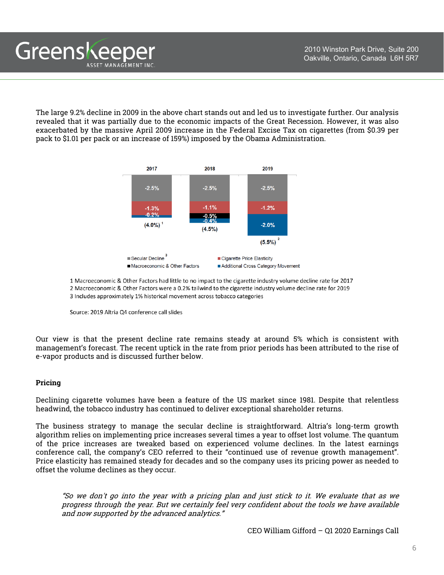The large 9.2% decline in 2009 in the above chart stands out and led us to investigate further. Our analysis revealed that it was partially due to the economic impacts of the Great Recession. However, it was also exacerbated by the massive April 2009 increase in the Federal Excise Tax on cigarettes (from \$0.39 per pack to \$1.01 per pack or an increase of 159%) imposed by the Obama Administration.





Source: 2019 Altria Q4 conference call slides

Greenskeeper

ASSET MANAGEMENT INC

Our view is that the present decline rate remains steady at around 5% which is consistent with management's forecast. The recent uptick in the rate from prior periods has been attributed to the rise of e-vapor products and is discussed further below.

#### **Pricing**

Declining cigarette volumes have been a feature of the US market since 1981. Despite that relentless headwind, the tobacco industry has continued to deliver exceptional shareholder returns.

The business strategy to manage the secular decline is straightforward. Altria's long-term growth algorithm relies on implementing price increases several times a year to offset lost volume. The quantum of the price increases are tweaked based on experienced volume declines. In the latest earnings conference call, the company's CEO referred to their "continued use of revenue growth management". Price elasticity has remained steady for decades and so the company uses its pricing power as needed to offset the volume declines as they occur.

"So we don't go into the year with <sup>a</sup> pricing plan and just stick to it. We evaluate that as we progress through the year. But we certainly feel very confident about the tools we have available and now supported by the advanced analytics."

CEO William Gifford – Q1 2020 Earnings Call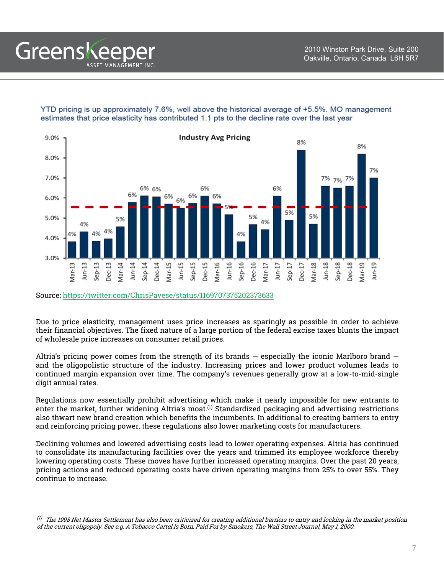YTD pricing is up approximately 7.6%, well above the historical average of +5.5%. MO management estimates that price elasticity has contributed 1.1 pts to the decline rate over the last year



Source: <https://twitter.com/ChrisPavese/status/1169707375202373633>

Greenskeep

ASSET MANAGEMENT INC

Due to price elasticity, management uses price increases as sparingly as possible in order to achieve their financial objectives. The fixed nature of a large portion of the federal excise taxes blunts the impact of wholesale price increases on consumer retail prices.

Altria's pricing power comes from the strength of its brands  $-$  especially the iconic Marlboro brand  $$ and the oligopolistic structure of the industry. Increasing prices and lower product volumes leads to continued margin expansion over time. The company's revenues generally grow at a low-to-mid-single digit annual rates.

Regulations now essentially prohibit advertising which make it nearly impossible for new entrants to enter the market, further widening Altria's moat. $^{(1)}$  Standardized packaging and advertising restrictions also thwart new brand creation which benefits the incumbents. In additional to creating barriers to entry and reinforcing pricing power, these regulations also lower marketing costs for manufacturers.

Declining volumes and lowered advertising costs lead to lower operating expenses. Altria has continued to consolidate its manufacturing facilities over the years and trimmed its employee workforce thereby lowering operating costs. These moves have further increased operating margins. Over the past 20 years, pricing actions and reduced operating costs have driven operating margins from 25% to over 55%. They continue to increase.

 $^{(1)}$  The 1998 Net Master Settlement has also been criticized for creating additional barriers to entry and locking in the market position of the current oligopoly. See e.g. A Tobacco Cartel Is Born, Paid For by Smokers, The Wall Street Journal, May 1, 2000.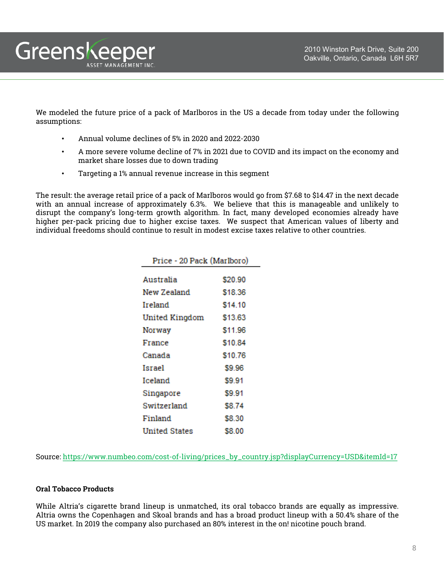We modeled the future price of a pack of Marlboros in the US a decade from today under the following assumptions:

• Annual volume declines of 5% in 2020 and 2022-2030

Greenskeeper

ASSET MANAGEMENT INC.

- A more severe volume decline of 7% in 2021 due to COVID and its impact on the economy and market share losses due to down trading
- Targeting a 1% annual revenue increase in this segment

The result: the average retail price of a pack of Marlboros would go from \$7.68 to \$14.47 in the next decade with an annual increase of approximately 6.3%. We believe that this is manageable and unlikely to disrupt the company's long-term growth algorithm. In fact, many developed economies already have higher per-pack pricing due to higher excise taxes. We suspect that American values of liberty and individual freedoms should continue to result in modest excise taxes relative to other countries.

| Price - 20 Pack (Marlboro) |         |  |  |  |  |  |
|----------------------------|---------|--|--|--|--|--|
|                            |         |  |  |  |  |  |
| Australia                  | \$20.90 |  |  |  |  |  |
| New Zealand                | \$18.36 |  |  |  |  |  |
| Ireland                    | \$14.10 |  |  |  |  |  |
| <b>United Kingdom</b>      | \$13.63 |  |  |  |  |  |
| Norway                     | \$11.96 |  |  |  |  |  |
| France                     | \$10.84 |  |  |  |  |  |
| Canada                     | \$10.76 |  |  |  |  |  |
| Israel                     | \$9.96  |  |  |  |  |  |
| Iceland                    | \$9.91  |  |  |  |  |  |
| Singapore                  | \$9.91  |  |  |  |  |  |
| Switzerland                | \$8.74  |  |  |  |  |  |
| Finland                    | \$8.30  |  |  |  |  |  |
| <b>United States</b>       | S8.00   |  |  |  |  |  |

Source: [https://www.numbeo.com/cost-of-living/prices\\_by\\_country.jsp?displayCurrency=USD&itemId=17](https://www.numbeo.com/cost-of-living/prices_by_country.jsp?displayCurrency=USD&itemId=17)

#### **Oral Tobacco Products**

While Altria's cigarette brand lineup is unmatched, its oral tobacco brands are equally as impressive. Altria owns the Copenhagen and Skoal brands and has a broad product lineup with a 50.4% share of the US market. In 2019 the company also purchased an 80% interest in the on! nicotine pouch brand.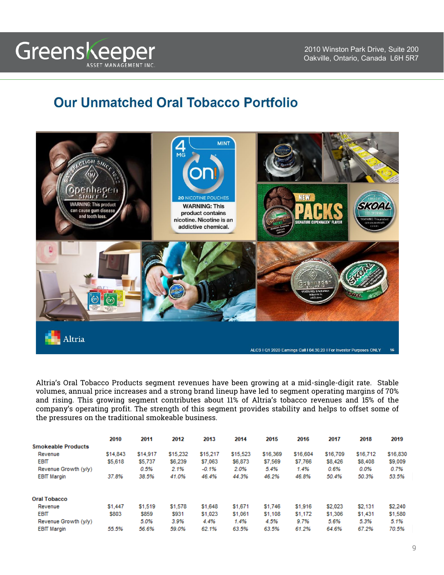## **Our Unmatched Oral Tobacco Portfolio**



Altria's Oral Tobacco Products segment revenues have been growing at a mid-single-digit rate. Stable volumes, annual price increases and a strong brand lineup have led to segment operating margins of 70% and rising. This growing segment contributes about 11% of Altria's tobacco revenues and 15% of the company's operating profit. The strength of this segment provides stability and helps to offset some of the pressures on the traditional smokeable business.

|                           | 2010     | 2011     | 2012     | 2013     | 2014     | 2015     | 2016     | 2017     | 2018     | 2019     |
|---------------------------|----------|----------|----------|----------|----------|----------|----------|----------|----------|----------|
| <b>Smokeable Products</b> |          |          |          |          |          |          |          |          |          |          |
| Revenue                   | \$14,843 | \$14,917 | \$15,232 | \$15,217 | \$15,523 | \$16,369 | \$16,604 | \$16,709 | \$16,712 | \$16,830 |
| <b>EBIT</b>               | \$5,618  | \$5,737  | \$6,239  | \$7,063  | \$6,873  | \$7,569  | \$7,766  | \$8,426  | \$8,408  | \$9,009  |
| Revenue Growth (y/y)      |          | 0.5%     | 2.1%     | $-0.1%$  | 2.0%     | 5.4%     | 1.4%     | 0.6%     | 0.0%     | 0.7%     |
| <b>EBIT Margin</b>        | 37.8%    | 38.5%    | 41.0%    | 46.4%    | 44.3%    | 46.2%    | 46.8%    | 50.4%    | 50.3%    | 53.5%    |
| <b>Oral Tobacco</b>       |          |          |          |          |          |          |          |          |          |          |
| Revenue                   | \$1,447  | \$1,519  | \$1,578  | \$1,648  | \$1,671  | \$1,746  | \$1,916  | \$2,023  | \$2,131  | \$2,240  |
| <b>EBIT</b>               | \$803    | \$859    | \$931    | \$1,023  | \$1,061  | \$1,108  | \$1,172  | \$1,306  | \$1,431  | \$1,580  |
| Revenue Growth (y/y)      |          | 5.0%     | 3.9%     | 4.4%     | 1.4%     | 4.5%     | 9.7%     | 5.6%     | 5.3%     | 5.1%     |
| <b>EBIT Margin</b>        | 55.5%    | 56.6%    | 59.0%    | 62.1%    | 63.5%    | 63.5%    | 61.2%    | 64.6%    | 67.2%    | 70.5%    |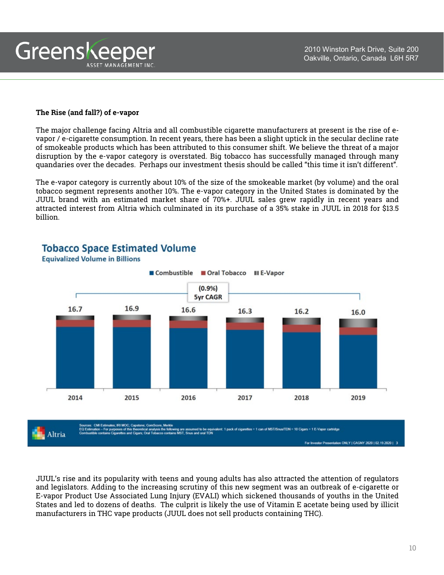

#### **The Rise (and fall?) of e-vapor**

The major challenge facing Altria and all combustible cigarette manufacturers at present is the rise of evapor / e-cigarette consumption. In recent years, there has been a slight uptick in the secular decline rate of smokeable products which has been attributed to this consumer shift. We believe the threat of a major disruption by the e-vapor category is overstated. Big tobacco has successfully managed through many quandaries over the decades. Perhaps our investment thesis should be called "this time it isn't different".

The e-vapor category is currently about 10% of the size of the smokeable market (by volume) and the oral tobacco segment represents another 10%. The e-vapor category in the United States is dominated by the JUUL brand with an estimated market share of 70%+. JUUL sales grew rapidly in recent years and attracted interest from Altria which culminated in its purchase of a 35% stake in JUUL in 2018 for \$13.5 billion.



### **Tobacco Space Estimated Volume**

**Equivalized Volume in Billions** 

JUUL's rise and its popularity with teens and young adults has also attracted the attention of regulators and legislators. Adding to the increasing scrutiny of this new segment was an outbreak of e-cigarette or E-vapor Product Use Associated Lung Injury (EVALI) which sickened thousands of youths in the United States and led to dozens of deaths. The culprit is likely the use of Vitamin E acetate being used by illicit

manufacturers in THC vape products (JUUL does not sell products containing THC).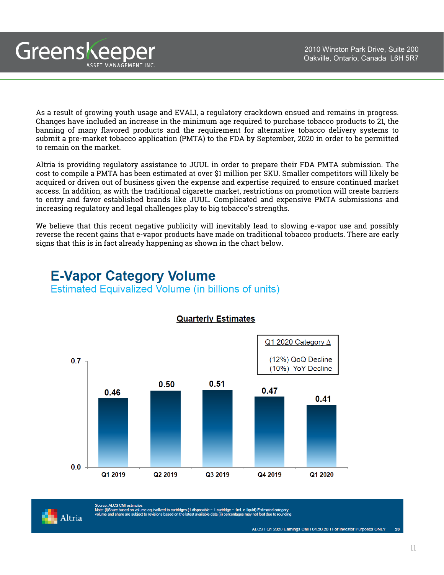

As a result of growing youth usage and EVALI, a regulatory crackdown ensued and remains in progress. Changes have included an increase in the minimum age required to purchase tobacco products to 21, the banning of many flavored products and the requirement for alternative tobacco delivery systems to submit a pre-market tobacco application (PMTA) to the FDA by September, 2020 in order to be permitted to remain on the market.

Altria is providing regulatory assistance to JUUL in order to prepare their FDA PMTA submission. The cost to compile a PMTA has been estimated at over \$1 million per SKU. Smaller competitors will likely be acquired or driven out of business given the expense and expertise required to ensure continued market access. In addition, as with the traditional cigarette market, restrictions on promotion will create barriers to entry and favor established brands like JUUL. Complicated and expensive PMTA submissions and increasing regulatory and legal challenges play to big tobacco's strengths.

We believe that this recent negative publicity will inevitably lead to slowing e-vapor use and possibly reverse the recent gains that e-vapor products have made on traditional tobacco products. There are early signs that this is in fact already happening as shown in the chart below.

**E-Vapor Category Volume Estimated Equivalized Volume (in billions of units)** 



'Source: ALCS CMI estimates<br>Note: (i)Share based on volume equivalized to cartridges (1 disposable = 1 cartridge = 1mL e-liquid) Estimated category<br>volume and share are subject to revisions based on the latest available da

**Quarterly Estimates** 

Altria

Greenskeeper

ASSET MANAGEMENT INC

ALCS I Q1 2020 Earnings Call I 04.30.20 I For Investor Purposes ONLY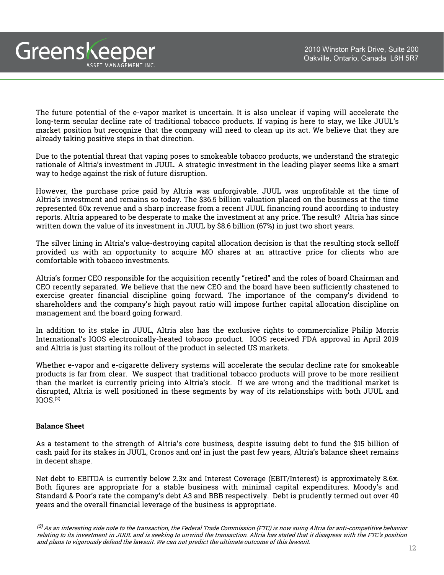Greenskeeper ASSET MANAGEMENT INC

> The future potential of the e-vapor market is uncertain. It is also unclear if vaping will accelerate the long-term secular decline rate of traditional tobacco products. If vaping is here to stay, we like JUUL's market position but recognize that the company will need to clean up its act. We believe that they are already taking positive steps in that direction.

> Due to the potential threat that vaping poses to smokeable tobacco products, we understand the strategic rationale of Altria's investment in JUUL. A strategic investment in the leading player seems like a smart way to hedge against the risk of future disruption.

> However, the purchase price paid by Altria was unforgivable. JUUL was unprofitable at the time of Altria's investment and remains so today. The \$36.5 billion valuation placed on the business at the time represented 50x revenue and a sharp increase from a recent JUUL financing round according to industry reports. Altria appeared to be desperate to make the investment at any price. The result? Altria has since written down the value of its investment in JUUL by \$8.6 billion (67%) in just two short years.

> The silver lining in Altria's value-destroying capital allocation decision is that the resulting stock selloff provided us with an opportunity to acquire MO shares at an attractive price for clients who are comfortable with tobacco investments.

> Altria's former CEO responsible for the acquisition recently "retired" and the roles of board Chairman and CEO recently separated. We believe that the new CEO and the board have been sufficiently chastened to exercise greater financial discipline going forward. The importance of the company's dividend to shareholders and the company's high payout ratio will impose further capital allocation discipline on management and the board going forward.

> In addition to its stake in JUUL, Altria also has the exclusive rights to commercialize Philip Morris International's IQOS electronically-heated tobacco product. IQOS received FDA approval in April 2019 and Altria is just starting its rollout of the product in selected US markets.

> Whether e-vapor and e-cigarette delivery systems will accelerate the secular decline rate for smokeable products is far from clear. We suspect that traditional tobacco products will prove to be more resilient than the market is currently pricing into Altria's stock. If we are wrong and the traditional market is disrupted, Altria is well positioned in these segments by way of its relationships with both JUUL and IQOS. (2)

#### **Balance Sheet**

As a testament to the strength of Altria's core business, despite issuing debt to fund the \$15 billion of cash paid for its stakes in JUUL, Cronos and on! in just the past few years, Altria's balance sheet remains in decent shape.

Net debt to EBITDA is currently below 2.3x and Interest Coverage (EBIT/Interest) is approximately 8.6x. Both figures are appropriate for a stable business with minimal capital expenditures. Moody's and Standard & Poor's rate the company's debt A3 and BBB respectively. Debt is prudently termed out over 40 years and the overall financial leverage of the business is appropriate.

 $^{(2)}$  As an interesting side note to the transaction, the Federal Trade Commission (FTC) is now suing Altria for anti-competitive behavior relating to its investment in JUUL and is seeking to unwind the transaction. Altria has stated that it disagrees with the FTC's position and plans to vigorously defend the lawsuit. We can not predict the ultimate outcome of this lawsuit.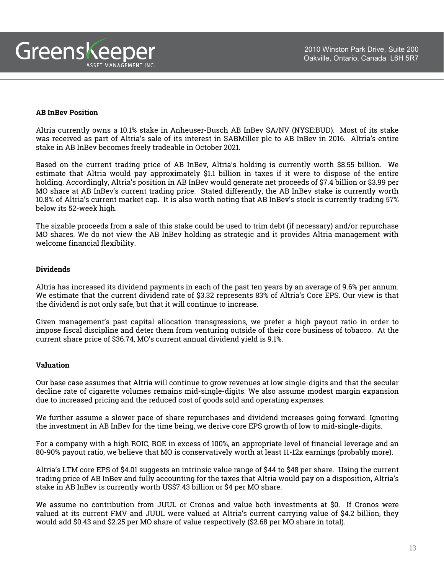#### **AB InBev Position**

Altria currently owns a 10.1% stake in Anheuser-Busch AB InBev SA/NV (NYSE:BUD). Most of its stake was received as part of Altria's sale of its interest in SABMiller plc to AB InBev in 2016. Altria's entire stake in AB InBev becomes freely tradeable in October 2021.

Based on the current trading price of AB InBev, Altria's holding is currently worth \$8.55 billion. We estimate that Altria would pay approximately \$1.1 billion in taxes if it were to dispose of the entire holding. Accordingly, Altria's position in AB InBev would generate net proceeds of \$7.4 billion or \$3.99 per MO share at AB InBev's current trading price. Stated differently, the AB InBev stake is currently worth 10.8% of Altria's current market cap. It is also worth noting that AB InBev's stock is currently trading 57% below its 52-week high.

The sizable proceeds from a sale of this stake could be used to trim debt (if necessary) and/or repurchase MO shares. We do not view the AB InBev holding as strategic and it provides Altria management with welcome financial flexibility.

#### **Dividends**

Altria has increased its dividend payments in each of the past ten years by an average of 9.6% per annum. We estimate that the current dividend rate of \$3.32 represents 83% of Altria's Core EPS. Our view is that the dividend is not only safe, but that it will continue to increase.

Given management's past capital allocation transgressions, we prefer a high payout ratio in order to impose fiscal discipline and deter them from venturing outside of their core business of tobacco. At the current share price of \$36.74, MO's current annual dividend yield is 9.1%.

#### **Valuation**

Our base case assumes that Altria will continue to grow revenues at low single-digits and that the secular decline rate of cigarette volumes remains mid-single-digits. We also assume modest margin expansion due to increased pricing and the reduced cost of goods sold and operating expenses.

We further assume a slower pace of share repurchases and dividend increases going forward. Ignoring the investment in AB InBev for the time being, we derive core EPS growth of low to mid-single-digits.

For a company with a high ROIC, ROE in excess of 100%, an appropriate level of financial leverage and an 80-90% payout ratio, we believe that MO is conservatively worth at least 11-12x earnings (probably more).

Altria's LTM core EPS of \$4.01 suggests an intrinsic value range of \$44 to \$48 per share. Using the current trading price of AB InBev and fully accounting for the taxes that Altria would pay on a disposition, Altria's stake in AB InBev is currently worth US\$7.43 billion or \$4 per MO share.

We assume no contribution from JUUL or Cronos and value both investments at \$0. If Cronos were valued at its current FMV and JUUL were valued at Altria's current carrying value of \$4.2 billion, they would add \$0.43 and \$2.25 per MO share of value respectively (\$2.68 per MO share in total).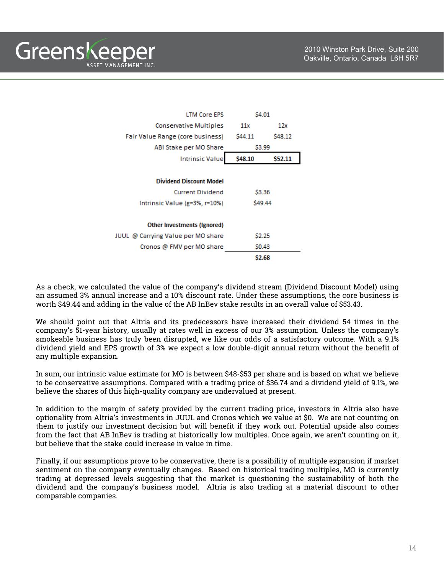Greenskeeper ASSET MANAGEMENT INC

| <b>LTM Core EPS</b>                | \$4.01  |         |  |  |
|------------------------------------|---------|---------|--|--|
| <b>Conservative Multiples</b>      | 11x     | 12x     |  |  |
| Fair Value Range (core business)   | S44.11  | S48.12  |  |  |
| ABI Stake per MO Share             | \$3.99  |         |  |  |
| <b>Intrinsic Value</b>             | \$48.10 | \$52.11 |  |  |
|                                    |         |         |  |  |
| <b>Dividend Discount Model</b>     |         |         |  |  |
| <b>Current Dividend</b>            | \$3.36  |         |  |  |
| Intrinsic Value (g=3%, r=10%)      | S49.44  |         |  |  |
|                                    |         |         |  |  |
| Other Investments (Ignored)        |         |         |  |  |
| JUUL @ Carrying Value per MO share | \$2.25  |         |  |  |
| Cronos @ FMV per MO share          | \$0.43  |         |  |  |
|                                    | \$2.68  |         |  |  |

As a check, we calculated the value of the company's dividend stream (Dividend Discount Model) using an assumed 3% annual increase and a 10% discount rate. Under these assumptions, the core business is worth \$49.44 and adding in the value of the AB InBev stake results in an overall value of \$53.43.

We should point out that Altria and its predecessors have increased their dividend 54 times in the company's 51-year history, usually at rates well in excess of our 3% assumption. Unless the company's smokeable business has truly been disrupted, we like our odds of a satisfactory outcome. With a 9.1% dividend yield and EPS growth of 3% we expect a low double-digit annual return without the benefit of any multiple expansion.

In sum, our intrinsic value estimate for MO is between \$48-\$53 per share and is based on what we believe to be conservative assumptions. Compared with a trading price of \$36.74 and a dividend yield of 9.1%, we believe the shares of this high-quality company are undervalued at present.

In addition to the margin of safety provided by the current trading price, investors in Altria also have optionality from Altria's investments in JUUL and Cronos which we value at \$0. We are not counting on them to justify our investment decision but will benefit if they work out. Potential upside also comes from the fact that AB InBev is trading at historically low multiples. Once again, we aren't counting on it, but believe that the stake could increase in value in time.

Finally, if our assumptions prove to be conservative, there is a possibility of multiple expansion if market sentiment on the company eventually changes. Based on historical trading multiples, MO is currently trading at depressed levels suggesting that the market is questioning the sustainability of both the dividend and the company's business model. Altria is also trading at a material discount to other comparable companies.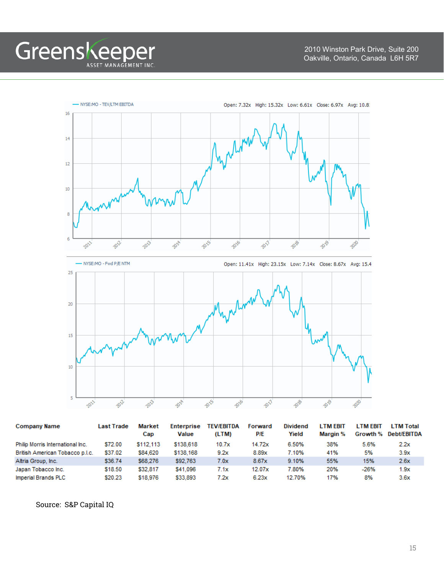



| <b>Company Name</b>              | <b>Last Trade</b> | <b>Market</b><br>Cap | <b>Enterprise</b><br><b>Value</b> | <b>TEV/EBITDA</b><br>(LTM) | Forward<br>P/E | <b>Dividend</b><br>Yield | <b>LTM EBIT</b><br>Margin % | <b>LTM EBIT</b><br>Growth % | <b>LTM Total</b><br><b>Debt/EBITDA</b> |
|----------------------------------|-------------------|----------------------|-----------------------------------|----------------------------|----------------|--------------------------|-----------------------------|-----------------------------|----------------------------------------|
| Philip Morris International Inc. | \$72.00           | \$112,113            | \$138,618                         | 10.7x                      | 14.72x         | 6.50%                    | 38%                         | 5.6%                        | 2.2x                                   |
| British American Tobacco p.l.c.  | \$37.02           | \$84,620             | \$138,168                         | 9.2x                       | 8.89x          | 7.10%                    | 41%                         | 5%                          | 3.9x                                   |
| Altria Group, Inc.               | \$36.74           | \$68,276             | \$92,763                          | 7.0x                       | 8.67x          | 9.10%                    | 55%                         | 15%                         | 2.6x                                   |
| Japan Tobacco Inc.               | \$18.50           | \$32.817             | \$41,096                          | 7.1x                       | 12.07x         | 7.80%                    | 20%                         | $-26%$                      | 1.9x                                   |
| Imperial Brands PLC              | \$20.23           | \$18,976             | \$33,893                          | 7.2x                       | 6.23x          | 12.70%                   | 17%                         | 8%                          | 3.6x                                   |

Source: S&P Capital IQ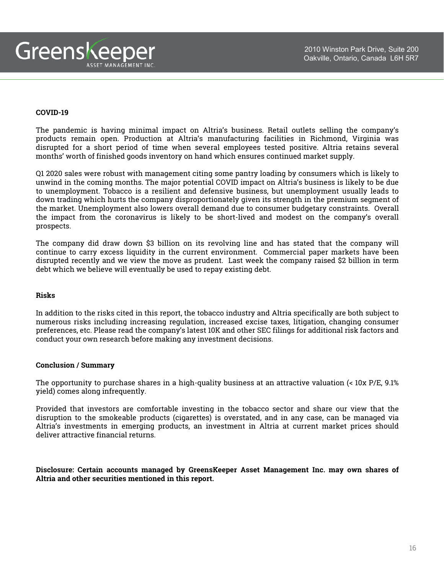

#### **COVID-19**

The pandemic is having minimal impact on Altria's business. Retail outlets selling the company's products remain open. Production at Altria's manufacturing facilities in Richmond, Virginia was disrupted for a short period of time when several employees tested positive. Altria retains several months' worth of finished goods inventory on hand which ensures continued market supply.

Q1 2020 sales were robust with management citing some pantry loading by consumers which is likely to unwind in the coming months. The major potential COVID impact on Altria's business is likely to be due to unemployment. Tobacco is a resilient and defensive business, but unemployment usually leads to down trading which hurts the company disproportionately given its strength in the premium segment of the market. Unemployment also lowers overall demand due to consumer budgetary constraints. Overall the impact from the coronavirus is likely to be short-lived and modest on the company's overall prospects.

The company did draw down \$3 billion on its revolving line and has stated that the company will continue to carry excess liquidity in the current environment. Commercial paper markets have been disrupted recently and we view the move as prudent. Last week the company raised \$2 billion in term debt which we believe will eventually be used to repay existing debt.

#### **Risks**

In addition to the risks cited in this report, the tobacco industry and Altria specifically are both subject to numerous risks including increasing regulation, increased excise taxes, litigation, changing consumer preferences, etc. Please read the company's latest 10K and other SEC filings for additional risk factors and conduct your own research before making any investment decisions.

#### **Conclusion / Summary**

The opportunity to purchase shares in a high-quality business at an attractive valuation (< 10x P/E, 9.1% yield) comes along infrequently.

Provided that investors are comfortable investing in the tobacco sector and share our view that the disruption to the smokeable products (cigarettes) is overstated, and in any case, can be managed via Altria's investments in emerging products, an investment in Altria at current market prices should deliver attractive financial returns.

**Disclosure: Certain accounts managed by GreensKeeper Asset Management Inc. may own shares of Altria and other securities mentioned in this report.**